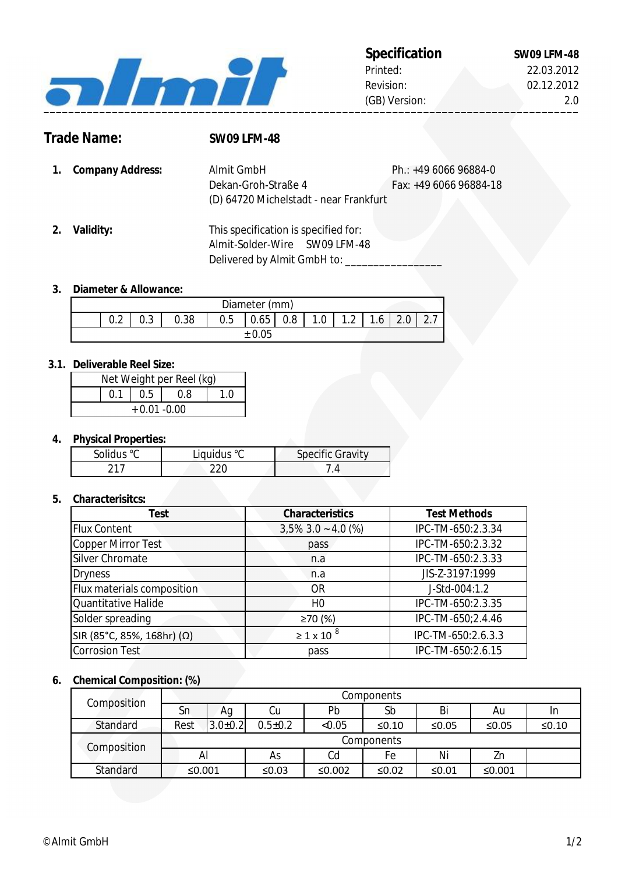

# 22.03.2012 02.12.2012

2.0

**Trade Name: SW09 LFM-48**

**1.** Ph.: +49 6066 96884-0 **Company Address:** Fax: +49 6066 96884-18 Dekan-Groh-Straße 4 Almit GmbH (D) 64720 Michelstadt - near Frankfurt

**2. Validity:** This specification is specified for: Almit-Solder-Wire SW09 LFM-48 Delivered by Almit GmbH to: \_\_\_\_\_\_\_

#### **3. Diameter & Allowance:**

| Diameter (mm) |        |      |     |      |     |     |                                    |    |  |
|---------------|--------|------|-----|------|-----|-----|------------------------------------|----|--|
| $\cap$<br>◡.← | $\sim$ | 0.38 | U.5 | 0.65 | 0.8 | 1.0 | $\sim$<br>$\overline{\phantom{a}}$ | .6 |  |
|               |        |      |     |      |     |     |                                    |    |  |

#### **3.1. Deliverable Reel Size:**

| Net Weight per Reel (kg) |  |             |     |  |  |  |
|--------------------------|--|-------------|-----|--|--|--|
|                          |  | $0.1$   0.5 | 0.8 |  |  |  |
| $+0.01 - 0.00$           |  |             |     |  |  |  |

## **4. Physical Properties:**

| Solidus °C | Liquidus °C | <b>Specific Gravity</b> |
|------------|-------------|-------------------------|
|            | ነጋር         |                         |

## **5. Characterisitcs:**

| <b>Test</b>                | <b>Characteristics</b> | <b>Test Methods</b> |  |
|----------------------------|------------------------|---------------------|--|
| <b>Flux Content</b>        | $3,5\%$ 3.0 ~ 4.0 (%)  | IPC-TM-650:2.3.34   |  |
| Copper Mirror Test         | pass                   | IPC-TM-650:2.3.32   |  |
| Silver Chromate            | n.a                    | IPC-TM-650:2.3.33   |  |
| <b>Dryness</b>             | n.a                    | JIS-Z-3197:1999     |  |
| Flux materials composition | <b>OR</b>              | J-Std-004:1.2       |  |
| Quantitative Halide        | H <sub>0</sub>         | IPC-TM-650:2.3.35   |  |
| Solder spreading           | ≥70(%)                 | IPC-TM-650;2.4.46   |  |
| SIR (85°C, 85%, 168hr) (Ω) | $\geq$ 1 x 10 $^8$     | IPC-TM-650:2.6.3.3  |  |
| Corrosion Test             | pass                   | IPC-TM-650:2.6.15   |  |

## **6. Chemical Composition: (%)**

| Composition | Components |               |               |        |             |         |        |         |
|-------------|------------|---------------|---------------|--------|-------------|---------|--------|---------|
|             | Sn         | Аg            | Cu            | Pb     | Sb          | Bi      | Au     | In      |
| Standard    | Rest       | $3.0 \pm 0.2$ | $0.5 \pm 0.2$ | < 0.05 | $\leq 0.10$ | ≤0.05   | ≤0.05  | $≤0.10$ |
| Composition | Components |               |               |        |             |         |        |         |
|             | Al         |               | As            | Cd     | Fe          | Ni      | Zn     |         |
| Standard    | ≤0.001     |               | ≤0.03         | ≤0.002 | ≤ $0.02$    | $≤0.01$ | ≤0.001 |         |